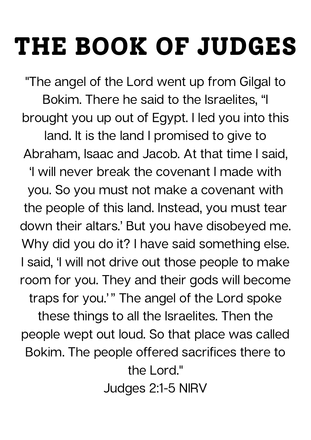## **THE BOOK OF JUDGES**

"The angel of the Lord went up from Gilgal to Bokim. There he said to the Israelites, "I brought you up out of Egypt. I led you into this land. It is the land I promised to give to Abraham, Isaac and Jacob. At that time I said, 'I will never break the covenant I made with you. So you must not make a covenant with the people of this land. Instead, you must tear down their altars.' But you have disobeyed me. Why did you do it? I have said something else. I said, 'I will not drive out those people to make room for you. They and their gods will become traps for you.'" The angel of the Lord spoke these things to all the Israelites. Then the people wept out loud. So that place was called Bokim. The people offered sacrifices there to the Lord."

Judges 2:1-5 NIRV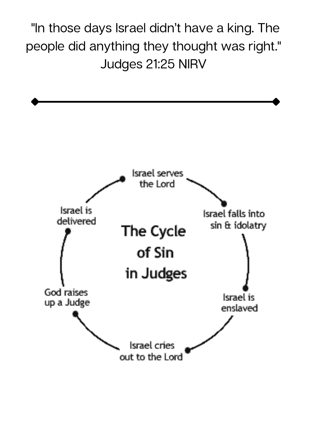"In those days Israel didn't have a king. The people did anything they thought was right." Judges 21:25 NIRV

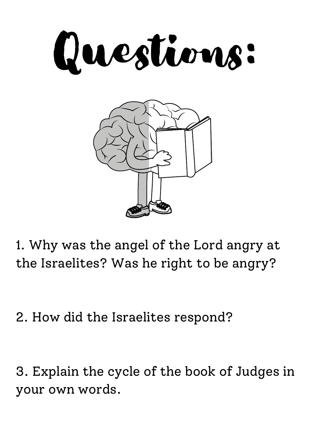



1. Why was the angel of the Lord angry at the Israelites? Was he right to be angry?

2. How did the Israelites respond?

3. Explain the cycle of the book of Judges in your own words.